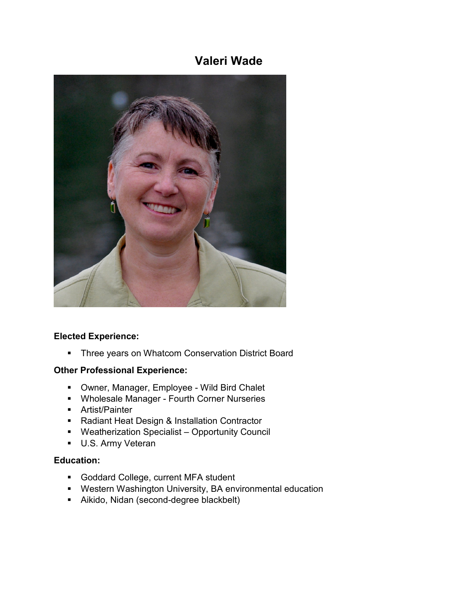# **Valeri Wade**



#### **Elected Experience:**

**Three years on Whatcom Conservation District Board** 

### **Other Professional Experience:**

- Owner, Manager, Employee Wild Bird Chalet
- **Wholesale Manager Fourth Corner Nurseries**
- Artist/Painter
- Radiant Heat Design & Installation Contractor
- Weatherization Specialist Opportunity Council
- **U.S. Army Veteran**

## **Education:**

- **Goddard College, current MFA student**
- Western Washington University, BA environmental education
- Aikido, Nidan (second-degree blackbelt)